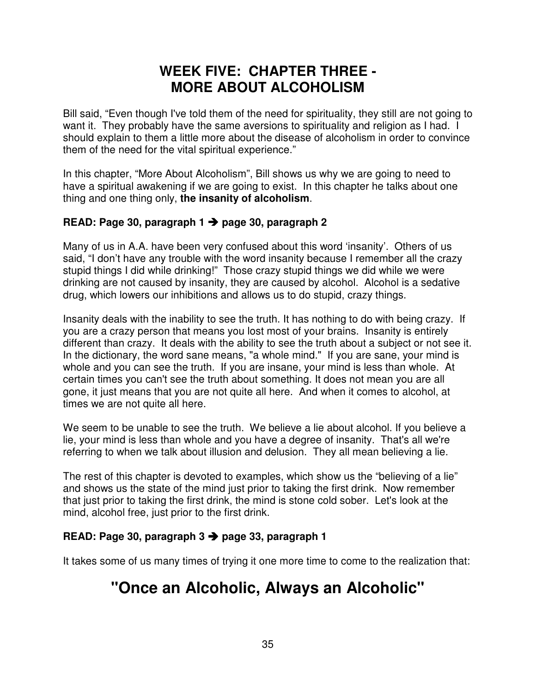### **WEEK FIVE: CHAPTER THREE - MORE ABOUT ALCOHOLISM**

Bill said, "Even though I've told them of the need for spirituality, they still are not going to want it. They probably have the same aversions to spirituality and religion as I had. I should explain to them a little more about the disease of alcoholism in order to convince them of the need for the vital spiritual experience."

In this chapter, "More About Alcoholism", Bill shows us why we are going to need to have a spiritual awakening if we are going to exist. In this chapter he talks about one thing and one thing only, **the insanity of alcoholism**.

### **READ: Page 30, paragraph 1 → page 30, paragraph 2**

Many of us in A.A. have been very confused about this word 'insanity'. Others of us said, "I don't have any trouble with the word insanity because I remember all the crazy stupid things I did while drinking!" Those crazy stupid things we did while we were drinking are not caused by insanity, they are caused by alcohol. Alcohol is a sedative drug, which lowers our inhibitions and allows us to do stupid, crazy things.

Insanity deals with the inability to see the truth. It has nothing to do with being crazy. If you are a crazy person that means you lost most of your brains. Insanity is entirely different than crazy. It deals with the ability to see the truth about a subject or not see it. In the dictionary, the word sane means, "a whole mind." If you are sane, your mind is whole and you can see the truth. If you are insane, your mind is less than whole. At certain times you can't see the truth about something. It does not mean you are all gone, it just means that you are not quite all here. And when it comes to alcohol, at times we are not quite all here.

We seem to be unable to see the truth. We believe a lie about alcohol. If you believe a lie, your mind is less than whole and you have a degree of insanity. That's all we're referring to when we talk about illusion and delusion. They all mean believing a lie.

The rest of this chapter is devoted to examples, which show us the "believing of a lie" and shows us the state of the mind just prior to taking the first drink. Now remember that just prior to taking the first drink, the mind is stone cold sober. Let's look at the mind, alcohol free, just prior to the first drink.

### **READ: Page 30, paragraph 3 page 33, paragraph 1**

It takes some of us many times of trying it one more time to come to the realization that:

# **"Once an Alcoholic, Always an Alcoholic"**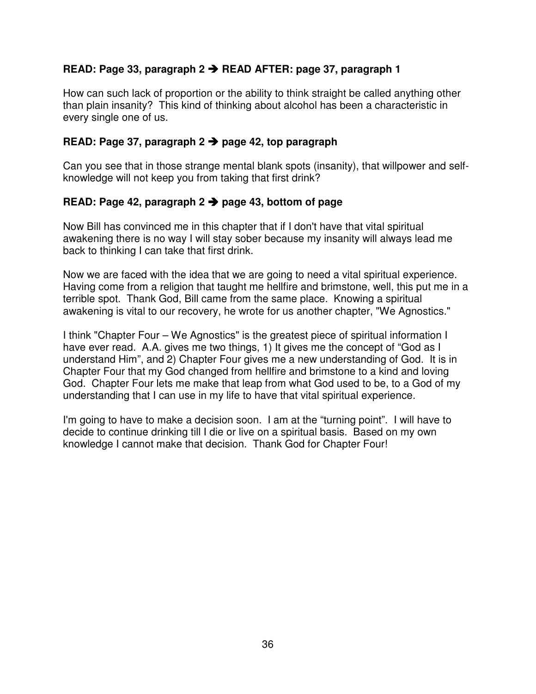### **READ: Page 33, paragraph 2 READ AFTER: page 37, paragraph 1**

How can such lack of proportion or the ability to think straight be called anything other than plain insanity? This kind of thinking about alcohol has been a characteristic in every single one of us.

### **READ: Page 37, paragraph 2 page 42, top paragraph**

Can you see that in those strange mental blank spots (insanity), that willpower and selfknowledge will not keep you from taking that first drink?

### **READ: Page 42, paragraph 2 page 43, bottom of page**

Now Bill has convinced me in this chapter that if I don't have that vital spiritual awakening there is no way I will stay sober because my insanity will always lead me back to thinking I can take that first drink.

Now we are faced with the idea that we are going to need a vital spiritual experience. Having come from a religion that taught me hellfire and brimstone, well, this put me in a terrible spot. Thank God, Bill came from the same place. Knowing a spiritual awakening is vital to our recovery, he wrote for us another chapter, "We Agnostics."

I think "Chapter Four – We Agnostics" is the greatest piece of spiritual information I have ever read. A.A. gives me two things, 1) It gives me the concept of "God as I understand Him", and 2) Chapter Four gives me a new understanding of God. It is in Chapter Four that my God changed from hellfire and brimstone to a kind and loving God. Chapter Four lets me make that leap from what God used to be, to a God of my understanding that I can use in my life to have that vital spiritual experience.

I'm going to have to make a decision soon. I am at the "turning point". I will have to decide to continue drinking till I die or live on a spiritual basis. Based on my own knowledge I cannot make that decision. Thank God for Chapter Four!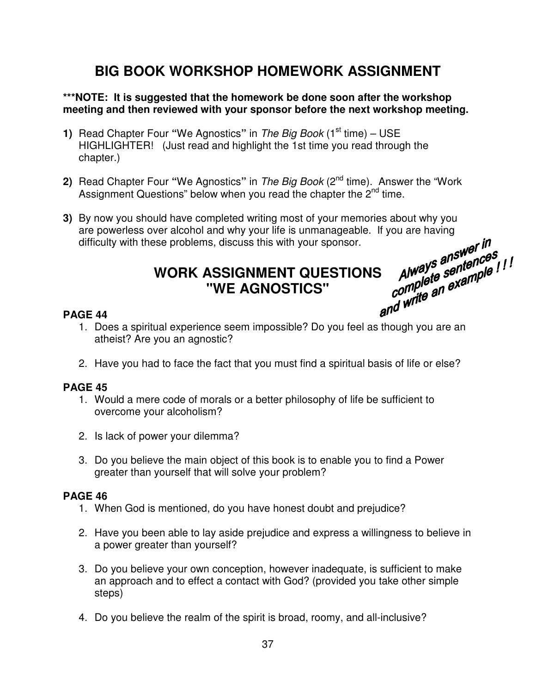## **BIG BOOK WORKSHOP HOMEWORK ASSIGNMENT**

### **\*\*\*NOTE: It is suggested that the homework be done soon after the workshop meeting and then reviewed with your sponsor before the next workshop meeting.**

- **1)** Read Chapter Four "We Agnostics" in The Big Book (1<sup>st</sup> time) USE HIGHLIGHTER! (Just read and highlight the 1st time you read through the chapter.)
- **2)** Read Chapter Four **"**We Agnostics**"** in The Big Book (2nd time). Answer the "Work Assignment Questions" below when you read the chapter the 2<sup>nd</sup> time.
- **3)** By now you should have completed writing most of your memories about why you are powerless over alcohol and why your life is unmanageable. If you are having<br>difficulty with these problems, discuss this with your sponsor.<br>WORK  $\triangle$ SSICNNETITE difficulty with these problems, discuss this with your sponsor. Always answer III<br>Always answernces<br>complete sexample !<br>write an example.

# WORK ASSIGNMENT QUESTIONS *Always answerences<sub>1</sub>!!*<br>"WE AGNOSTICS" *complete* example!" **"WE AGNOSTICS"**

### **PAGE 44**

- 1. Does a spiritual experience seem impossible? Do you feel as though you are an atheist? Are you an agnostic?
- 2. Have you had to face the fact that you must find a spiritual basis of life or else?

### **PAGE 45**

- 1. Would a mere code of morals or a better philosophy of life be sufficient to overcome your alcoholism?
- 2. Is lack of power your dilemma?
- 3. Do you believe the main object of this book is to enable you to find a Power greater than yourself that will solve your problem?

### **PAGE 46**

- 1. When God is mentioned, do you have honest doubt and prejudice?
- 2. Have you been able to lay aside prejudice and express a willingness to believe in a power greater than yourself?
- 3. Do you believe your own conception, however inadequate, is sufficient to make an approach and to effect a contact with God? (provided you take other simple steps)
- 4. Do you believe the realm of the spirit is broad, roomy, and all-inclusive?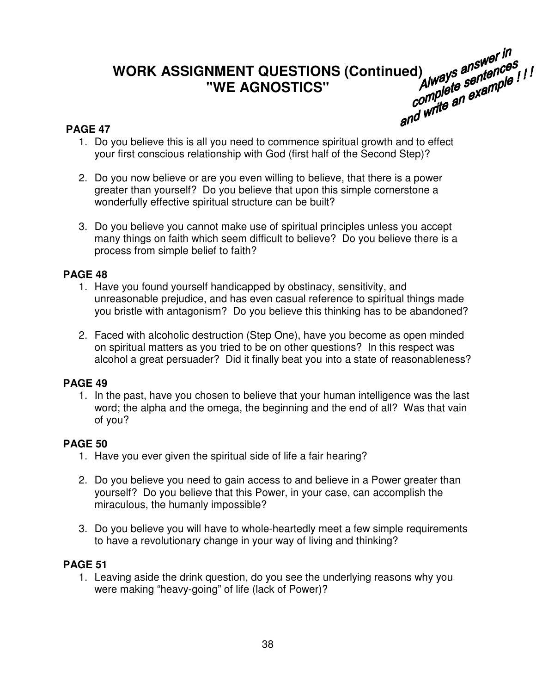# WORK ASSIGNMENT QUESTIONS (Continued) always answer in<br>"WE AGNOSTICS" Always antences" **"WE AGNOSTICS"**

### **PAGE 47**

- 1. Do you believe this is all you need to commence spiritual growth and to effect your first conscious relationship with God (first half of the Second Step)?
- 2. Do you now believe or are you even willing to believe, that there is a power greater than yourself? Do you believe that upon this simple cornerstone a wonderfully effective spiritual structure can be built?
- 3. Do you believe you cannot make use of spiritual principles unless you accept many things on faith which seem difficult to believe? Do you believe there is a process from simple belief to faith?

### **PAGE 48**

- 1. Have you found yourself handicapped by obstinacy, sensitivity, and unreasonable prejudice, and has even casual reference to spiritual things made you bristle with antagonism? Do you believe this thinking has to be abandoned?
- 2. Faced with alcoholic destruction (Step One), have you become as open minded on spiritual matters as you tried to be on other questions? In this respect was alcohol a great persuader? Did it finally beat you into a state of reasonableness?

### **PAGE 49**

1. In the past, have you chosen to believe that your human intelligence was the last word; the alpha and the omega, the beginning and the end of all? Was that vain of you?

### **PAGE 50**

- 1. Have you ever given the spiritual side of life a fair hearing?
- 2. Do you believe you need to gain access to and believe in a Power greater than yourself? Do you believe that this Power, in your case, can accomplish the miraculous, the humanly impossible?
- 3. Do you believe you will have to whole-heartedly meet a few simple requirements to have a revolutionary change in your way of living and thinking?

### **PAGE 51**

1. Leaving aside the drink question, do you see the underlying reasons why you were making "heavy-going" of life (lack of Power)?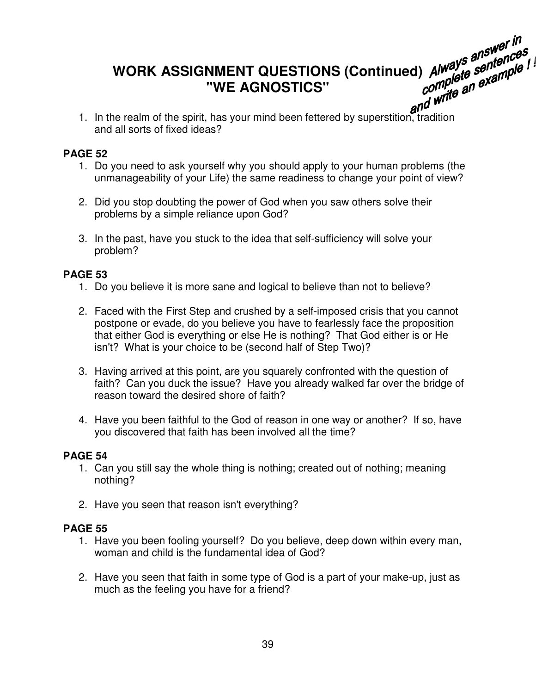# **WORK ASSIGNMENT QUESTIONS (Continued) "WE AGNOSTICS"**

1. In the realm of the spirit, has your mind been fettered by superstition, tradition and all sorts of fixed ideas?

### **PAGE 52**

- 1. Do you need to ask yourself why you should apply to your human problems (the unmanageability of your Life) the same readiness to change your point of view?
- 2. Did you stop doubting the power of God when you saw others solve their problems by a simple reliance upon God?
- 3. In the past, have you stuck to the idea that self-sufficiency will solve your problem?

### **PAGE 53**

- 1. Do you believe it is more sane and logical to believe than not to believe?
- 2. Faced with the First Step and crushed by a self-imposed crisis that you cannot postpone or evade, do you believe you have to fearlessly face the proposition that either God is everything or else He is nothing? That God either is or He isn't? What is your choice to be (second half of Step Two)?
- 3. Having arrived at this point, are you squarely confronted with the question of faith? Can you duck the issue? Have you already walked far over the bridge of reason toward the desired shore of faith?
- 4. Have you been faithful to the God of reason in one way or another? If so, have you discovered that faith has been involved all the time?

### **PAGE 54**

- 1. Can you still say the whole thing is nothing; created out of nothing; meaning nothing?
- 2. Have you seen that reason isn't everything?

### **PAGE 55**

- 1. Have you been fooling yourself? Do you believe, deep down within every man, woman and child is the fundamental idea of God?
- 2. Have you seen that faith in some type of God is a part of your make-up, just as much as the feeling you have for a friend?